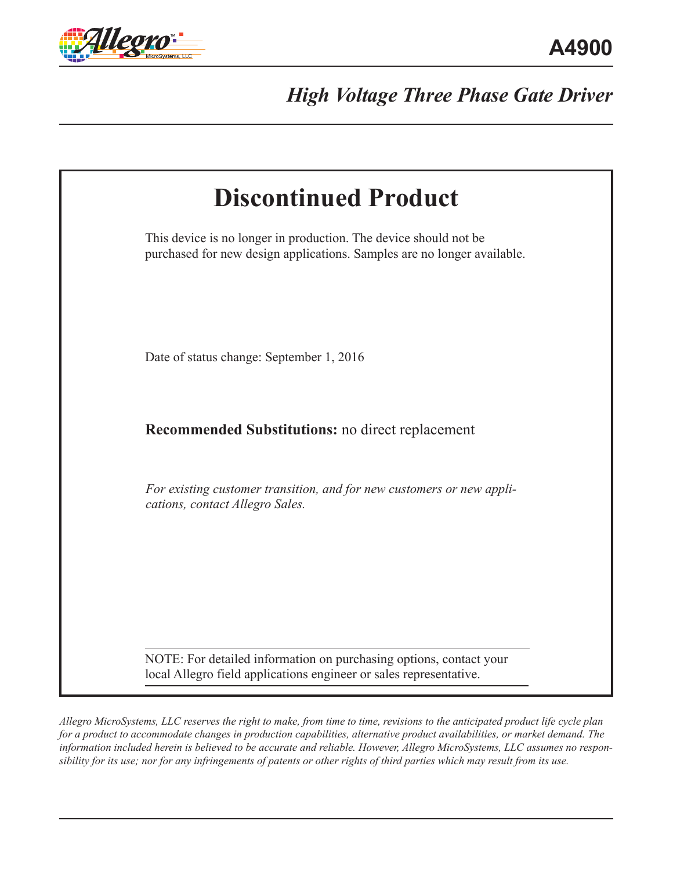

| <b>Discontinued Product</b>                                                                                                                 |  |
|---------------------------------------------------------------------------------------------------------------------------------------------|--|
| This device is no longer in production. The device should not be<br>purchased for new design applications. Samples are no longer available. |  |
| Date of status change: September 1, 2016                                                                                                    |  |
| <b>Recommended Substitutions:</b> no direct replacement                                                                                     |  |
| For existing customer transition, and for new customers or new appli-<br>cations, contact Allegro Sales.                                    |  |
| NOTE: For detailed information on purchasing options, contact your<br>local Allegro field applications engineer or sales representative.    |  |

*Allegro MicroSystems, LLC reserves the right to make, from time to time, revisions to the anticipated product life cycle plan for a product to accommodate changes in production capabilities, alternative product availabilities, or market demand. The information included herein is believed to be accurate and reliable. However, Allegro MicroSystems, LLC assumes no responsibility for its use; nor for any infringements of patents or other rights of third parties which may result from its use.*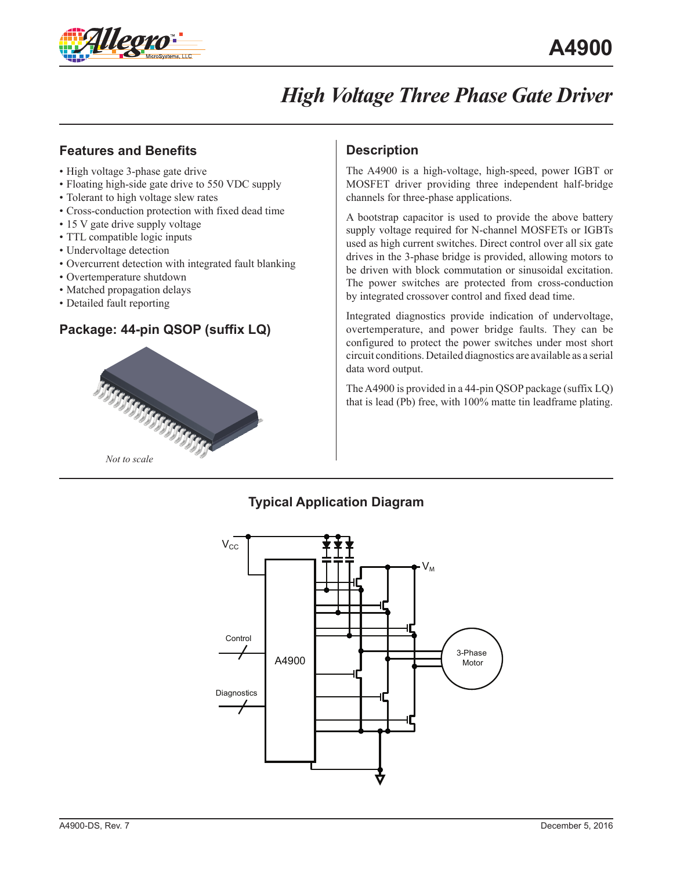

### **Features and Benefits**

- High voltage 3-phase gate drive
- Floating high-side gate drive to 550 VDC supply
- Tolerant to high voltage slew rates
- Cross-conduction protection with fixed dead time
- 15 V gate drive supply voltage
- TTL compatible logic inputs
- Undervoltage detection
- Overcurrent detection with integrated fault blanking
- Overtemperature shutdown
- Matched propagation delays
- Detailed fault reporting

### **Package: 44-pin QSOP (suffix LQ)**



### **Description**

The A4900 is a high-voltage, high-speed, power IGBT or MOSFET driver providing three independent half-bridge channels for three-phase applications.

A bootstrap capacitor is used to provide the above battery supply voltage required for N-channel MOSFETs or IGBTs used as high current switches. Direct control over all six gate drives in the 3-phase bridge is provided, allowing motors to be driven with block commutation or sinusoidal excitation. The power switches are protected from cross-conduction by integrated crossover control and fixed dead time.

Integrated diagnostics provide indication of undervoltage, overtemperature, and power bridge faults. They can be configured to protect the power switches under most short circuit conditions. Detailed diagnostics are available as a serial data word output.

The A4900 is provided in a 44-pin QSOP package (suffix LQ) that is lead (Pb) free, with 100% matte tin leadframe plating.

### **Typical Application Diagram**

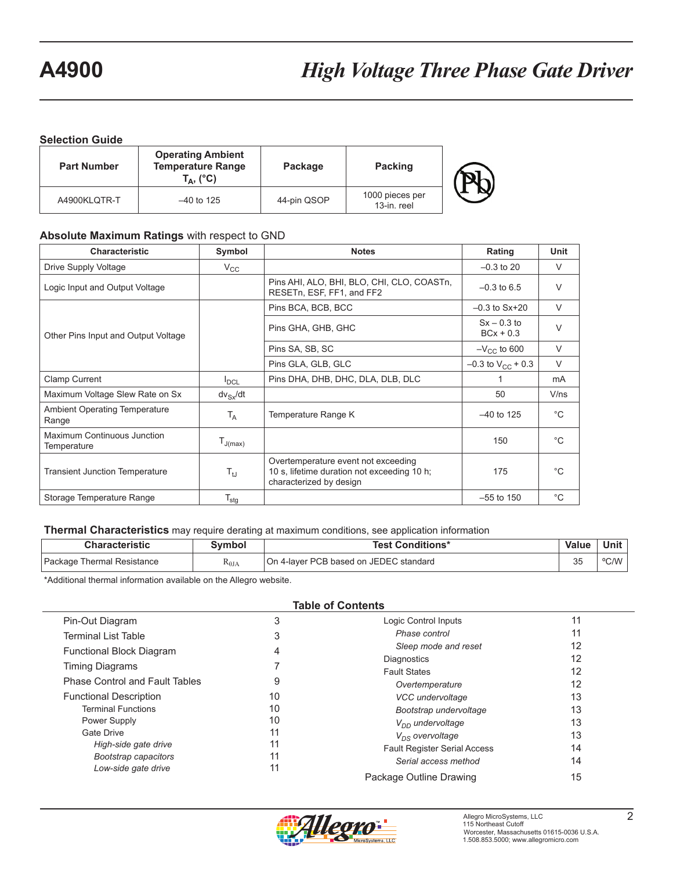#### **Selection Guide**

| <b>Part Number</b> | <b>Operating Ambient</b><br><b>Temperature Range</b><br>$\mathsf{T}_\mathsf{A},$ (°C) | Package     | <b>Packing</b>                 |  |
|--------------------|---------------------------------------------------------------------------------------|-------------|--------------------------------|--|
| A4900KLQTR-T       | $-40$ to 125                                                                          | 44-pin QSOP | 1000 pieces per<br>13-in. reel |  |

#### **Absolute Maximum Ratings** with respect to GND

| <b>Characteristic</b>                         | Symbol           | <b>Notes</b>                                                                                                  | Rating                       | Unit         |
|-----------------------------------------------|------------------|---------------------------------------------------------------------------------------------------------------|------------------------------|--------------|
| Drive Supply Voltage                          | $V_{\rm CC}$     |                                                                                                               | $-0.3$ to 20                 | $\vee$       |
| Logic Input and Output Voltage                |                  | Pins AHI, ALO, BHI, BLO, CHI, CLO, COASTn,<br>RESETn, ESF, FF1, and FF2                                       | $-0.3$ to 6.5                | $\vee$       |
|                                               |                  | Pins BCA, BCB, BCC                                                                                            | $-0.3$ to $Sx+20$            | $\vee$       |
| Other Pins Input and Output Voltage           |                  | Pins GHA, GHB, GHC                                                                                            | $Sx - 0.3$ to<br>$BCx + 0.3$ | $\vee$       |
|                                               |                  | Pins SA, SB, SC                                                                                               | $-V_{\text{CC}}$ to 600      | $\vee$       |
|                                               |                  | Pins GLA, GLB, GLC                                                                                            | $-0.3$ to $V_{CC}$ + 0.3     | $\vee$       |
| <b>Clamp Current</b>                          | $I_{DCL}$        | Pins DHA, DHB, DHC, DLA, DLB, DLC                                                                             |                              | mA           |
| Maximum Voltage Slew Rate on Sx               | $dv_{Sx}/dt$     |                                                                                                               | 50                           | V/ns         |
| <b>Ambient Operating Temperature</b><br>Range | $T_A$            | Temperature Range K                                                                                           | $-40$ to 125                 | $^{\circ}C$  |
| Maximum Continuous Junction<br>Temperature    | $T_{J(max)}$     |                                                                                                               | 150                          | $^{\circ}$ C |
| <b>Transient Junction Temperature</b>         | $T_{tJ}$         | Overtemperature event not exceeding<br>10 s, lifetime duration not exceeding 10 h;<br>characterized by design | 175                          | $^{\circ}$ C |
| Storage Temperature Range                     | $T_{\text{stg}}$ |                                                                                                               | $-55$ to 150                 | $^{\circ}C$  |

#### **Thermal Characteristics** may require derating at maximum conditions, see application information

| <b>Characteristic</b>      | svmbol         | <b>Test Conditions*</b>                | Value        | Unit |
|----------------------------|----------------|----------------------------------------|--------------|------|
| Package Thermal Resistance | $\kappa_{0JA}$ | On 4-layer PCB based on JEDEC standard | $\sim$<br>نټ | °C/W |

\*Additional thermal information available on the Allegro website.

| <b>Table of Contents</b>              |    |                                     |    |  |  |
|---------------------------------------|----|-------------------------------------|----|--|--|
| Pin-Out Diagram                       | 3  | Logic Control Inputs                | 11 |  |  |
| <b>Terminal List Table</b>            | 3  | Phase control                       | 11 |  |  |
| <b>Functional Block Diagram</b>       | 4  | Sleep mode and reset                | 12 |  |  |
|                                       |    | <b>Diagnostics</b>                  | 12 |  |  |
| <b>Timing Diagrams</b>                |    | <b>Fault States</b>                 | 12 |  |  |
| <b>Phase Control and Fault Tables</b> | 9  | Overtemperature                     | 12 |  |  |
| <b>Functional Description</b>         | 10 | VCC undervoltage                    | 13 |  |  |
| <b>Terminal Functions</b>             | 10 | Bootstrap undervoltage              | 13 |  |  |
| Power Supply                          | 10 | $V_{DD}$ undervoltage               | 13 |  |  |
| Gate Drive                            | 11 | $V_{\Omega}$ overvoltage            | 13 |  |  |
| High-side gate drive                  | 11 | <b>Fault Register Serial Access</b> | 14 |  |  |
| Bootstrap capacitors                  | 11 | Serial access method                | 14 |  |  |
| Low-side gate drive                   | 11 |                                     |    |  |  |
|                                       |    | Package Outline Drawing             | 15 |  |  |

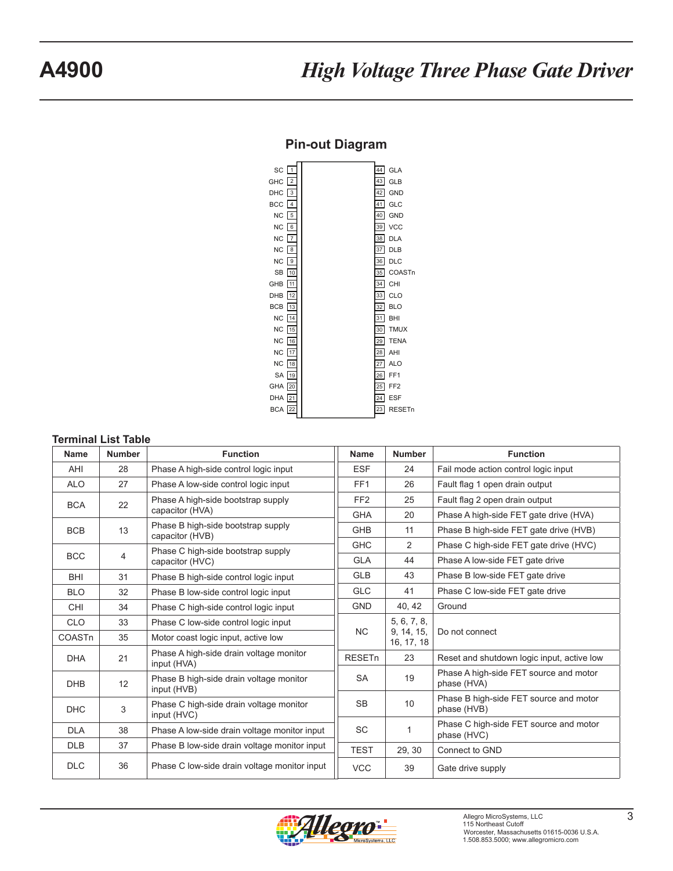### **Pin-out Diagram**

<span id="page-3-0"></span>

#### **Terminal List Table**

| <b>Name</b> | <b>Number</b>  | <b>Function</b>                                        | <b>Name</b>     | <b>Number</b>            | <b>Function</b>                                       |
|-------------|----------------|--------------------------------------------------------|-----------------|--------------------------|-------------------------------------------------------|
| AHI         | 28             | Phase A high-side control logic input                  | <b>ESF</b>      | 24                       | Fail mode action control logic input                  |
| <b>ALO</b>  | 27             | Phase A low-side control logic input                   | FF <sub>1</sub> | 26                       | Fault flag 1 open drain output                        |
| <b>BCA</b>  | 22             | Phase A high-side bootstrap supply                     | FF <sub>2</sub> | 25                       | Fault flag 2 open drain output                        |
|             |                | capacitor (HVA)                                        | <b>GHA</b>      | 20                       | Phase A high-side FET gate drive (HVA)                |
| <b>BCB</b>  | 13             | Phase B high-side bootstrap supply<br>capacitor (HVB)  | <b>GHB</b>      | 11                       | Phase B high-side FET gate drive (HVB)                |
|             |                | Phase C high-side bootstrap supply                     | <b>GHC</b>      | 2                        | Phase C high-side FET gate drive (HVC)                |
| <b>BCC</b>  | $\overline{4}$ | capacitor (HVC)                                        | <b>GLA</b>      | 44                       | Phase A low-side FET gate drive                       |
| <b>BHI</b>  | 31             | Phase B high-side control logic input                  | <b>GLB</b>      | 43                       | Phase B low-side FET gate drive                       |
| <b>BLO</b>  | 32             | Phase B low-side control logic input                   | <b>GLC</b>      | 41                       | Phase C low-side FET gate drive                       |
| <b>CHI</b>  | 34             | Phase C high-side control logic input                  | <b>GND</b>      | 40, 42                   | Ground                                                |
| <b>CLO</b>  | 33             | Phase C low-side control logic input                   |                 | 5, 6, 7, 8,              |                                                       |
| COASTn      | 35             | Motor coast logic input, active low                    | <b>NC</b>       | 9, 14, 15,<br>16, 17, 18 | Do not connect                                        |
| <b>DHA</b>  | 21             | Phase A high-side drain voltage monitor<br>input (HVA) | <b>RESETn</b>   | 23                       | Reset and shutdown logic input, active low            |
| <b>DHB</b>  | 12             | Phase B high-side drain voltage monitor<br>input (HVB) | <b>SA</b>       | 19                       | Phase A high-side FET source and motor<br>phase (HVA) |
| <b>DHC</b>  | 3              | Phase C high-side drain voltage monitor<br>input (HVC) | <b>SB</b>       | 10                       | Phase B high-side FET source and motor<br>phase (HVB) |
| <b>DLA</b>  | 38             | Phase A low-side drain voltage monitor input           | <b>SC</b>       | 1                        | Phase C high-side FET source and motor<br>phase (HVC) |
| <b>DLB</b>  | 37             | Phase B low-side drain voltage monitor input           | <b>TEST</b>     | 29, 30                   | Connect to GND                                        |
| <b>DLC</b>  | 36             | Phase C low-side drain voltage monitor input           | <b>VCC</b>      | 39                       | Gate drive supply                                     |

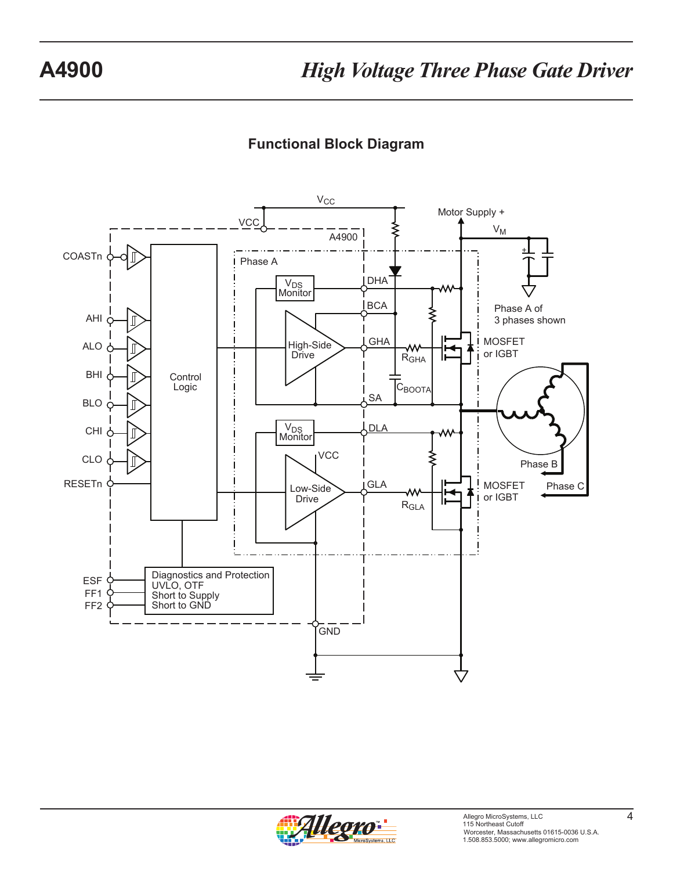# **Functional Block Diagram**

<span id="page-4-0"></span>

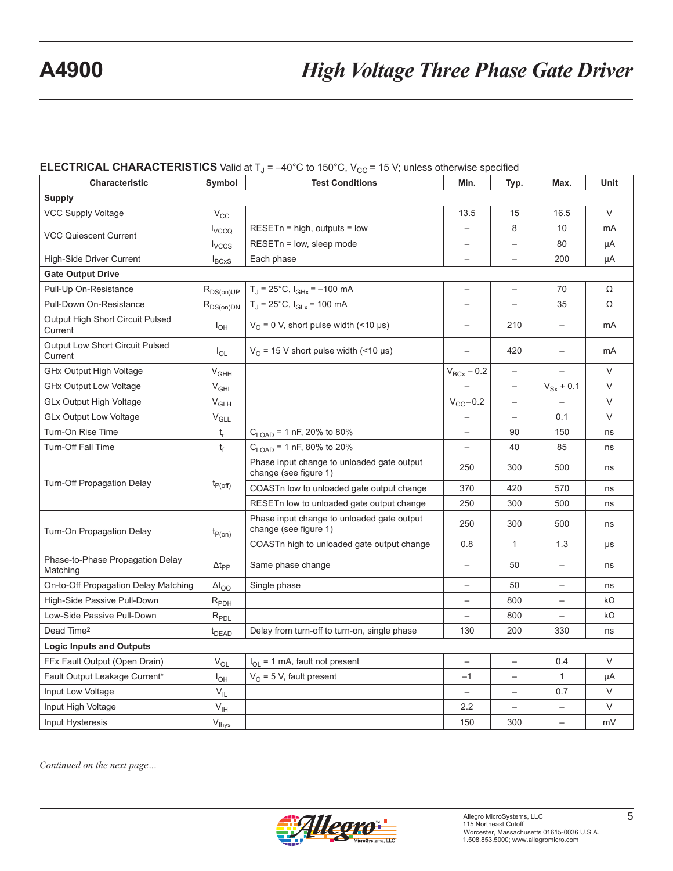#### **ELECTRICAL CHARACTERISTICS** Valid at  $T_d = -40^{\circ}$ C to 150°C, V<sub>CC</sub> = 15 V; unless otherwise specified

| Characteristic                                    | Symbol                   | w<br><b>Test Conditions</b>                                         | Min.                     | Typ.                     | Max.                     | Unit      |
|---------------------------------------------------|--------------------------|---------------------------------------------------------------------|--------------------------|--------------------------|--------------------------|-----------|
| <b>Supply</b>                                     |                          |                                                                     |                          |                          |                          |           |
| <b>VCC Supply Voltage</b>                         | $V_{\rm CC}$             |                                                                     | 13.5                     | 15                       | 16.5                     | $\vee$    |
|                                                   | <b>I</b> <sub>VCCQ</sub> | $RESETn = high$ , outputs = low                                     | $\overline{\phantom{0}}$ | 8                        | 10                       | mA        |
| <b>VCC Quiescent Current</b>                      | $I_{VCCS}$               | RESETn = low, sleep mode                                            |                          |                          | 80                       | μA        |
| High-Side Driver Current                          | $I_{BCXS}$               | Each phase                                                          | $\overline{\phantom{0}}$ |                          | 200                      | μA        |
| <b>Gate Output Drive</b>                          |                          |                                                                     |                          |                          |                          |           |
| Pull-Up On-Resistance                             | $R_{DS(on)UP}$           | $T_J = 25^{\circ}C$ , $I_{GHX} = -100$ mA                           | $\overline{\phantom{0}}$ | $\overline{\phantom{0}}$ | 70                       | Ω         |
| Pull-Down On-Resistance                           | $R_{DS(on)DN}$           | $T_J = 25$ °C, $I_{GLx} = 100$ mA                                   |                          |                          | 35                       | Ω         |
| Output High Short Circuit Pulsed<br>Current       | $I_{OH}$                 | $V_{O}$ = 0 V, short pulse width (<10 µs)                           | $\qquad \qquad -$        | 210                      | $\overline{\phantom{0}}$ | mA        |
| <b>Output Low Short Circuit Pulsed</b><br>Current | $I_{OL}$                 | $V_{\Omega}$ = 15 V short pulse width (<10 µs)                      |                          | 420                      |                          | mA        |
| GHx Output High Voltage                           | $V_{GHH}$                |                                                                     | $V_{BCx} - 0.2$          | $\qquad \qquad -$        |                          | $\vee$    |
| GHx Output Low Voltage                            | $V_{GHL}$                |                                                                     |                          | $\qquad \qquad -$        | $V_{Sx}$ + 0.1           | $\vee$    |
| <b>GLx Output High Voltage</b>                    | $V_{GLH}$                |                                                                     | $V_{CC}$ -0.2            |                          |                          | $\vee$    |
| <b>GLx Output Low Voltage</b>                     | $V_{GLL}$                |                                                                     |                          |                          | 0.1                      | $\vee$    |
| Turn-On Rise Time                                 | $t_{r}$                  | $C_{\text{LOAD}}$ = 1 nF, 20% to 80%                                |                          | 90                       | 150                      | ns        |
| <b>Turn-Off Fall Time</b>                         | $t_f$                    | $C_{\text{LOAD}}$ = 1 nF, 80% to 20%                                |                          | 40                       | 85                       | ns        |
|                                                   |                          | Phase input change to unloaded gate output<br>change (see figure 1) | 250                      | 300                      | 500                      | ns        |
| Turn-Off Propagation Delay                        | $t_{P(off)}$             | COASTn low to unloaded gate output change                           | 370                      | 420                      | 570                      | ns        |
|                                                   |                          | RESETn low to unloaded gate output change                           | 250                      | 300                      | 500                      | ns        |
| Turn-On Propagation Delay                         | $t_{P(0n)}$              | Phase input change to unloaded gate output<br>change (see figure 1) | 250                      | 300                      | 500                      | ns        |
|                                                   |                          | COASTn high to unloaded gate output change                          | 0.8                      | $\mathbf{1}$             | 1.3                      | μs        |
| Phase-to-Phase Propagation Delay<br>Matching      | $\Delta t_{\text{PP}}$   | Same phase change                                                   |                          | 50                       | $\overline{\phantom{0}}$ | ns        |
| On-to-Off Propagation Delay Matching              | $\Delta t$ <sub>OO</sub> | Single phase                                                        |                          | 50                       | $\overline{\phantom{0}}$ | ns        |
| High-Side Passive Pull-Down                       | $R_{PDH}$                |                                                                     |                          | 800                      |                          | $k\Omega$ |
| Low-Side Passive Pull-Down                        | $R_{PDL}$                |                                                                     |                          | 800                      |                          | $k\Omega$ |
| Dead Time <sup>2</sup>                            | t <sub>DEAD</sub>        | Delay from turn-off to turn-on, single phase                        | 130                      | 200                      | 330                      | ns        |
| <b>Logic Inputs and Outputs</b>                   |                          |                                                                     |                          |                          |                          |           |
| FFx Fault Output (Open Drain)                     | $V_{OL}$                 | $I_{OL}$ = 1 mA, fault not present                                  |                          |                          | 0.4                      | $\vee$    |
| Fault Output Leakage Current*                     | $I_{OH}$                 | $V_{O}$ = 5 V, fault present                                        | $-1$                     |                          | $\mathbf{1}$             | μA        |
| Input Low Voltage                                 | $V_{IL}$                 |                                                                     |                          |                          | 0.7                      | $\vee$    |
| Input High Voltage                                | $V_{\text{IH}}$          |                                                                     | 2.2                      |                          |                          | $\vee$    |
| Input Hysteresis                                  | $V_{\text{hys}}$         |                                                                     | 150                      | 300                      |                          | mV        |

*Continued on the next page…*

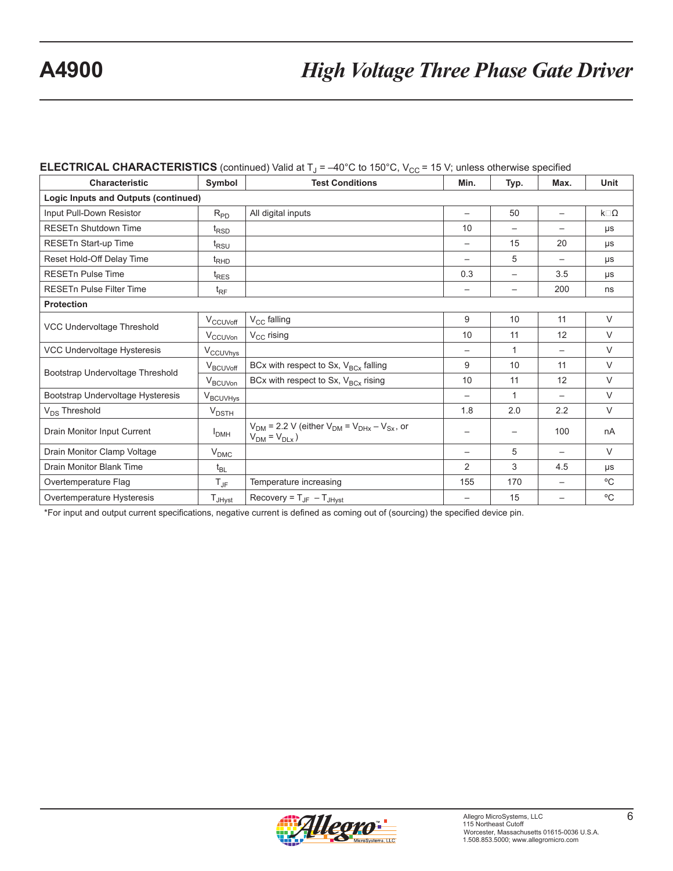#### **ELECTRICAL CHARACTERISTICS** (continued) Valid at  $T_{J} = -40^{\circ}$ C to 150°C, V<sub>CC</sub> = 15 V; unless otherwise specified

| <b>Characteristic</b>                | Symbol               | <b>Test Conditions</b>                                                              | Min.                     | Typ.                     | Max.                     | Unit             |
|--------------------------------------|----------------------|-------------------------------------------------------------------------------------|--------------------------|--------------------------|--------------------------|------------------|
| Logic Inputs and Outputs (continued) |                      |                                                                                     |                          |                          |                          |                  |
| Input Pull-Down Resistor             | $R_{PD}$             | All digital inputs                                                                  |                          | 50                       |                          | $k\square\Omega$ |
| <b>RESETn Shutdown Time</b>          | $t_{\text{RSD}}$     |                                                                                     | 10                       | $\overline{\phantom{m}}$ | $\overline{\phantom{0}}$ | μs               |
| RESETn Start-up Time                 | $t_{RSU}$            |                                                                                     |                          | 15                       | 20                       | μs               |
| Reset Hold-Off Delay Time            | $t_{RHD}$            |                                                                                     | $\overline{\phantom{m}}$ | 5                        | —                        | μs               |
| <b>RESETn Pulse Time</b>             | $t_{RES}$            |                                                                                     | 0.3                      | $\qquad \qquad -$        | 3.5                      | μs               |
| <b>RESETn Pulse Filter Time</b>      | $t_{\text{RF}}$      |                                                                                     | $\overline{\phantom{m}}$ | $\qquad \qquad$          | 200                      | ns               |
| <b>Protection</b>                    |                      |                                                                                     |                          |                          |                          |                  |
|                                      | $V_{CCUVoff}$        | $V_{\text{CC}}$ falling                                                             | 9                        | 10                       | 11                       | $\vee$           |
| VCC Undervoltage Threshold           | V <sub>CCUVon</sub>  | $V_{CC}$ rising                                                                     | 10                       | 11                       | 12                       | $\vee$           |
| VCC Undervoltage Hysteresis          | V <sub>CCUVhys</sub> |                                                                                     |                          | 1                        | $\overline{\phantom{0}}$ | $\vee$           |
|                                      | V <sub>BCUVoff</sub> | BCx with respect to Sx, $V_{BCx}$ falling                                           | 9                        | 10                       | 11                       | $\vee$           |
| Bootstrap Undervoltage Threshold     | V <sub>BCUVon</sub>  | BCx with respect to Sx, $V_{BCx}$ rising                                            | 10                       | 11                       | 12                       | $\vee$           |
| Bootstrap Undervoltage Hysteresis    | V <sub>BCUVHys</sub> |                                                                                     |                          | $\mathbf{1}$             |                          | $\vee$           |
| V <sub>DS</sub> Threshold            | $V_{\text{DSTH}}$    |                                                                                     | 1.8                      | 2.0                      | 2.2                      | $\vee$           |
| Drain Monitor Input Current          | I <sub>DMH</sub>     | $V_{DM}$ = 2.2 V (either $V_{DM}$ = $V_{DHx}$ – $V_{Sx}$ , or<br>$V_{DM} = V_{DLx}$ |                          |                          | 100                      | nA               |
| Drain Monitor Clamp Voltage          | $V_{\text{DMC}}$     |                                                                                     | $\overline{\phantom{0}}$ | 5                        | $\qquad \qquad -$        | $\vee$           |
| Drain Monitor Blank Time             | $t_{BL}$             |                                                                                     | 2                        | 3                        | 4.5                      | μs               |
| Overtemperature Flag                 | $T_{\mathsf{JF}}$    | Temperature increasing                                                              | 155                      | 170                      | —                        | °C               |
| Overtemperature Hysteresis           | $T_{JHyst}$          | Recovery = $T_{JF}$ – $T_{JHyst}$                                                   | $\overline{\phantom{0}}$ | 15                       | —                        | $^{\circ}$ C     |

\*For input and output current specifications, negative current is defined as coming out of (sourcing) the specified device pin.

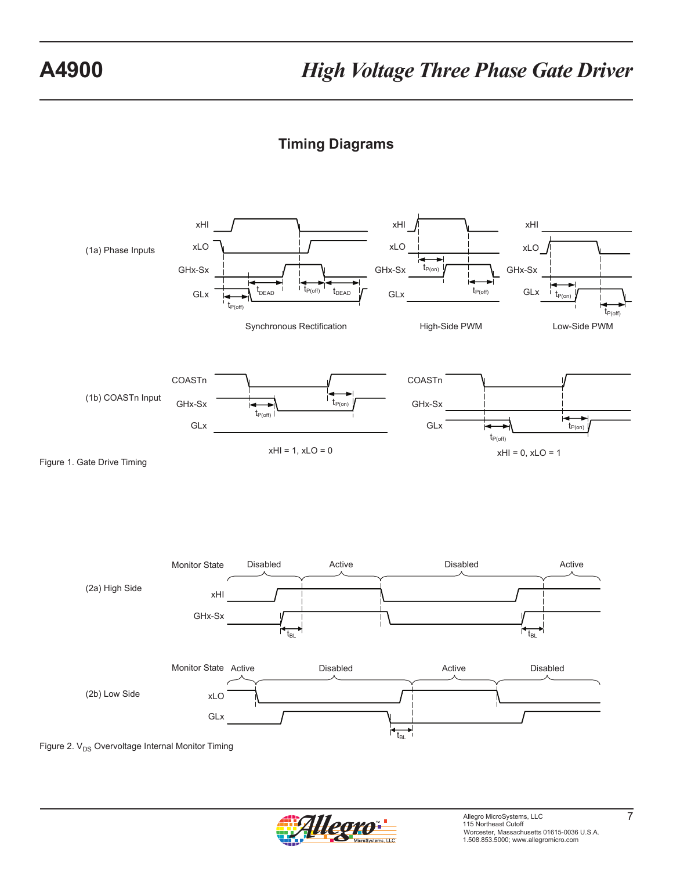## **Timing Diagrams**

<span id="page-7-0"></span>

Figure 2.  $V_{DS}$  Overvoltage Internal Monitor Timing

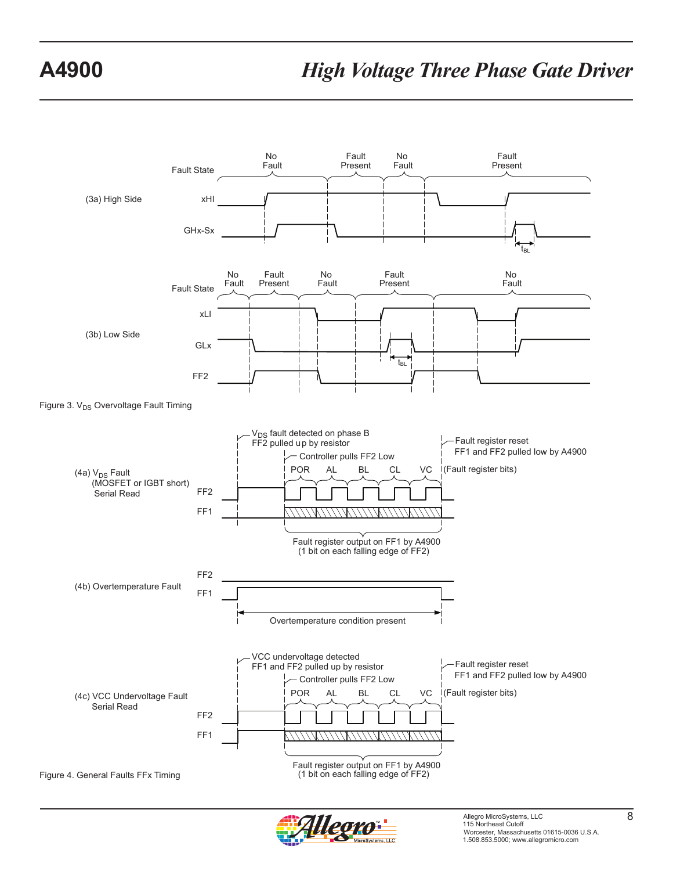

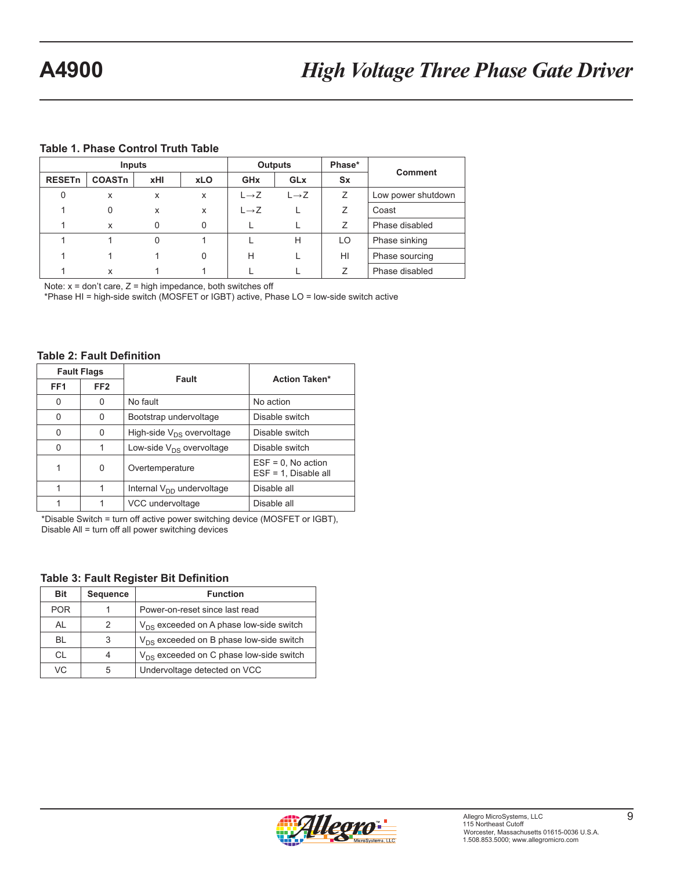#### <span id="page-9-0"></span>**Table 1. Phase Control Truth Table**

| Inputs                   |               |     |            | <b>Outputs</b>        | Phase*            | <b>Comment</b> |                    |
|--------------------------|---------------|-----|------------|-----------------------|-------------------|----------------|--------------------|
| <b>RESET<sub>n</sub></b> | <b>COASTn</b> | xHI | <b>xLO</b> | <b>GH<sub>x</sub></b> | <b>GLx</b>        | Sx             |                    |
| 0                        | X             | x   | x          | $L \rightarrow Z$     | $L \rightarrow Z$ | Ζ              | Low power shutdown |
|                          | $\Omega$      | x   | x          | $L \rightarrow Z$     |                   | Ζ              | Coast              |
|                          | x             | 0   | 0          |                       |                   | Ζ              | Phase disabled     |
|                          |               | 0   |            |                       | H                 | LO             | Phase sinking      |
|                          |               |     | 0          | H                     |                   | HI             | Phase sourcing     |
|                          | X             |     |            |                       |                   | Ζ              | Phase disabled     |

Note:  $x =$  don't care,  $Z =$  high impedance, both switches off

\*Phase HI = high-side switch (MOSFET or IGBT) active, Phase LO = low-side switch active

#### **Table 2: Fault Definition**

| <b>Fault Flags</b> |                 | Fault                          | <b>Action Taken*</b>                             |  |  |
|--------------------|-----------------|--------------------------------|--------------------------------------------------|--|--|
| FF <sub>1</sub>    | FF <sub>2</sub> |                                |                                                  |  |  |
| 0                  | 0               | No fault                       | No action                                        |  |  |
| 0                  | 0               | Bootstrap undervoltage         | Disable switch                                   |  |  |
| 0                  | O               | High-side $V_{DS}$ overvoltage | Disable switch                                   |  |  |
| $\Omega$           |                 | Low-side $V_{DS}$ overvoltage  | Disable switch                                   |  |  |
|                    | $\Omega$        | Overtemperature                | $ESF = 0$ , No action<br>$ESF = 1$ , Disable all |  |  |
| 1                  |                 | Internal $V_{DD}$ undervoltage | Disable all                                      |  |  |
|                    |                 | VCC undervoltage               | Disable all                                      |  |  |

\*Disable Switch = turn off active power switching device (MOSFET or IGBT), Disable All = turn off all power switching devices

#### **Table 3: Fault Register Bit Definition**

| Bit        | <b>Sequence</b> | <b>Function</b>                              |
|------------|-----------------|----------------------------------------------|
| <b>POR</b> |                 | Power-on-reset since last read               |
| AL         | 2               | $V_{DS}$ exceeded on A phase low-side switch |
| BL         | 3               | $V_{DS}$ exceeded on B phase low-side switch |
| <b>CL</b>  |                 | $V_{DS}$ exceeded on C phase low-side switch |
| VC.        | 5               | Undervoltage detected on VCC                 |

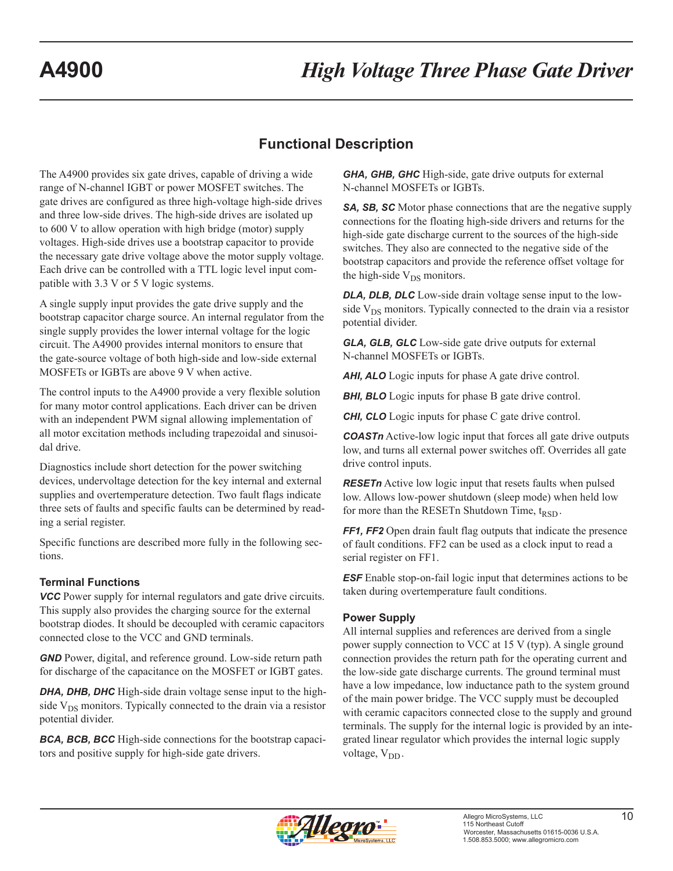## **Functional Description**

<span id="page-10-0"></span>The A4900 provides six gate drives, capable of driving a wide range of N-channel IGBT or power MOSFET switches. The gate drives are configured as three high-voltage high-side drives and three low-side drives. The high-side drives are isolated up to 600 V to allow operation with high bridge (motor) supply voltages. High-side drives use a bootstrap capacitor to provide the necessary gate drive voltage above the motor supply voltage. Each drive can be controlled with a TTL logic level input compatible with 3.3 V or 5 V logic systems.

A single supply input provides the gate drive supply and the bootstrap capacitor charge source. An internal regulator from the single supply provides the lower internal voltage for the logic circuit. The A4900 provides internal monitors to ensure that the gate-source voltage of both high-side and low-side external MOSFETs or IGBTs are above 9 V when active.

The control inputs to the A4900 provide a very flexible solution for many motor control applications. Each driver can be driven with an independent PWM signal allowing implementation of all motor excitation methods including trapezoidal and sinusoidal drive.

Diagnostics include short detection for the power switching devices, undervoltage detection for the key internal and external supplies and overtemperature detection. Two fault flags indicate three sets of faults and specific faults can be determined by reading a serial register.

Specific functions are described more fully in the following sections.

#### **Terminal Functions**

*VCC* Power supply for internal regulators and gate drive circuits. This supply also provides the charging source for the external bootstrap diodes. It should be decoupled with ceramic capacitors connected close to the VCC and GND terminals.

*GND* Power, digital, and reference ground. Low-side return path for discharge of the capacitance on the MOSFET or IGBT gates.

*DHA, DHB, DHC* High-side drain voltage sense input to the highside  $V_{DS}$  monitors. Typically connected to the drain via a resistor potential divider.

*BCA, BCB, BCC* High-side connections for the bootstrap capacitors and positive supply for high-side gate drivers.

*GHA, GHB, GHC* High-side, gate drive outputs for external N-channel MOSFETs or IGBTs.

**SA, SB, SC** Motor phase connections that are the negative supply connections for the floating high-side drivers and returns for the high-side gate discharge current to the sources of the high-side switches. They also are connected to the negative side of the bootstrap capacitors and provide the reference offset voltage for the high-side  $V_{DS}$  monitors.

*DLA, DLB, DLC* Low-side drain voltage sense input to the lowside  $V_{DS}$  monitors. Typically connected to the drain via a resistor potential divider.

*GLA, GLB, GLC* Low-side gate drive outputs for external N-channel MOSFETs or IGBTs.

*AHI, ALO* Logic inputs for phase A gate drive control.

**BHI, BLO** Logic inputs for phase B gate drive control.

*CHI, CLO* Logic inputs for phase C gate drive control.

**COASTn** Active-low logic input that forces all gate drive outputs low, and turns all external power switches off. Overrides all gate drive control inputs.

*RESETn* Active low logic input that resets faults when pulsed low. Allows low-power shutdown (sleep mode) when held low for more than the RESET n Shutdown Time,  $t_{RSD}$ .

*FF1, FF2* Open drain fault flag outputs that indicate the presence of fault conditions. FF2 can be used as a clock input to read a serial register on FF1.

*ESF* Enable stop-on-fail logic input that determines actions to be taken during overtemperature fault conditions.

#### **Power Supply**

All internal supplies and references are derived from a single power supply connection to VCC at 15 V (typ). A single ground connection provides the return path for the operating current and the low-side gate discharge currents. The ground terminal must have a low impedance, low inductance path to the system ground of the main power bridge. The VCC supply must be decoupled with ceramic capacitors connected close to the supply and ground terminals. The supply for the internal logic is provided by an integrated linear regulator which provides the internal logic supply voltage, V<sub>DD</sub>.

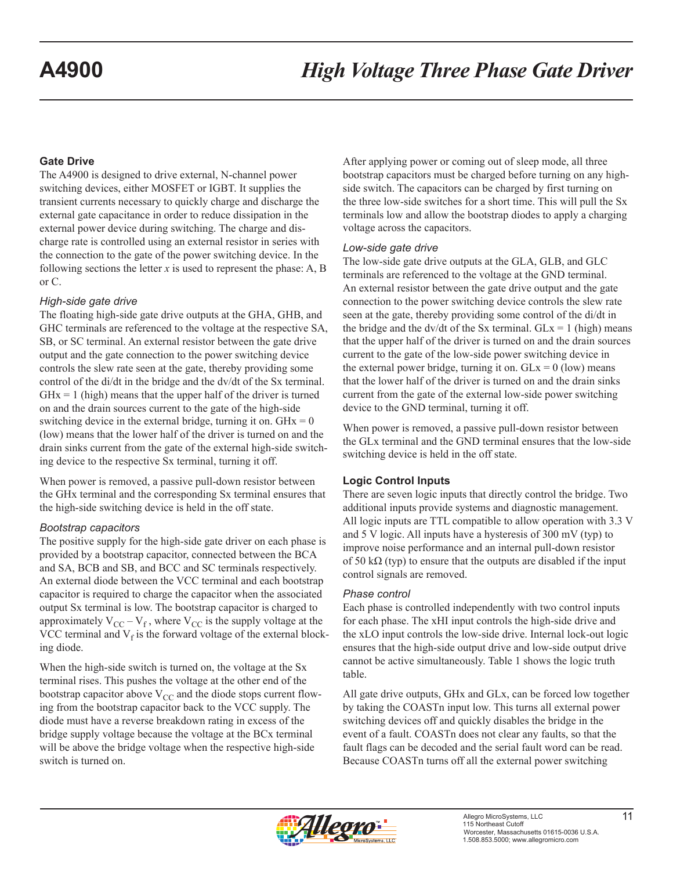#### <span id="page-11-0"></span>**Gate Drive**

The A4900 is designed to drive external, N-channel power switching devices, either MOSFET or IGBT. It supplies the transient currents necessary to quickly charge and discharge the external gate capacitance in order to reduce dissipation in the external power device during switching. The charge and discharge rate is controlled using an external resistor in series with the connection to the gate of the power switching device. In the following sections the letter  $x$  is used to represent the phase: A, B or C.

#### *High-side gate drive*

The floating high-side gate drive outputs at the GHA, GHB, and GHC terminals are referenced to the voltage at the respective SA, SB, or SC terminal. An external resistor between the gate drive output and the gate connection to the power switching device controls the slew rate seen at the gate, thereby providing some control of the di/dt in the bridge and the dv/dt of the Sx terminal.  $GHx = 1$  (high) means that the upper half of the driver is turned on and the drain sources current to the gate of the high-side switching device in the external bridge, turning it on.  $GHx = 0$ (low) means that the lower half of the driver is turned on and the drain sinks current from the gate of the external high-side switching device to the respective Sx terminal, turning it off.

When power is removed, a passive pull-down resistor between the GHx terminal and the corresponding Sx terminal ensures that the high-side switching device is held in the off state.

#### *Bootstrap capacitors*

The positive supply for the high-side gate driver on each phase is provided by a bootstrap capacitor, connected between the BCA and SA, BCB and SB, and BCC and SC terminals respectively. An external diode between the VCC terminal and each bootstrap capacitor is required to charge the capacitor when the associated output Sx terminal is low. The bootstrap capacitor is charged to approximately  $V_{CC} - V_f$ , where  $V_{CC}$  is the supply voltage at the VCC terminal and  $V_f$  is the forward voltage of the external blocking diode.

When the high-side switch is turned on, the voltage at the Sx terminal rises. This pushes the voltage at the other end of the bootstrap capacitor above  $V_{CC}$  and the diode stops current flowing from the bootstrap capacitor back to the VCC supply. The diode must have a reverse breakdown rating in excess of the bridge supply voltage because the voltage at the BCx terminal will be above the bridge voltage when the respective high-side switch is turned on.

After applying power or coming out of sleep mode, all three bootstrap capacitors must be charged before turning on any highside switch. The capacitors can be charged by first turning on the three low-side switches for a short time. This will pull the Sx terminals low and allow the bootstrap diodes to apply a charging voltage across the capacitors.

#### *Low-side gate drive*

The low-side gate drive outputs at the GLA, GLB, and GLC terminals are referenced to the voltage at the GND terminal. An external resistor between the gate drive output and the gate connection to the power switching device controls the slew rate seen at the gate, thereby providing some control of the di/dt in the bridge and the dv/dt of the Sx terminal.  $GLx = 1$  (high) means that the upper half of the driver is turned on and the drain sources current to the gate of the low-side power switching device in the external power bridge, turning it on.  $GLx = 0$  (low) means that the lower half of the driver is turned on and the drain sinks current from the gate of the external low-side power switching device to the GND terminal, turning it off.

When power is removed, a passive pull-down resistor between the GLx terminal and the GND terminal ensures that the low-side switching device is held in the off state.

### **Logic Control Inputs**

There are seven logic inputs that directly control the bridge. Two additional inputs provide systems and diagnostic management. All logic inputs are TTL compatible to allow operation with 3.3 V and 5 V logic. All inputs have a hysteresis of 300 mV (typ) to improve noise performance and an internal pull-down resistor of 50 k $\Omega$  (typ) to ensure that the outputs are disabled if the input control signals are removed.

#### *Phase control*

Each phase is controlled independently with two control inputs for each phase. The xHI input controls the high-side drive and the xLO input controls the low-side drive. Internal lock-out logic ensures that the high-side output drive and low-side output drive cannot be active simultaneously. Table 1 shows the logic truth table.

All gate drive outputs, GHx and GLx, can be forced low together by taking the COASTn input low. This turns all external power switching devices off and quickly disables the bridge in the event of a fault. COASTn does not clear any faults, so that the fault flags can be decoded and the serial fault word can be read. Because COASTn turns off all the external power switching

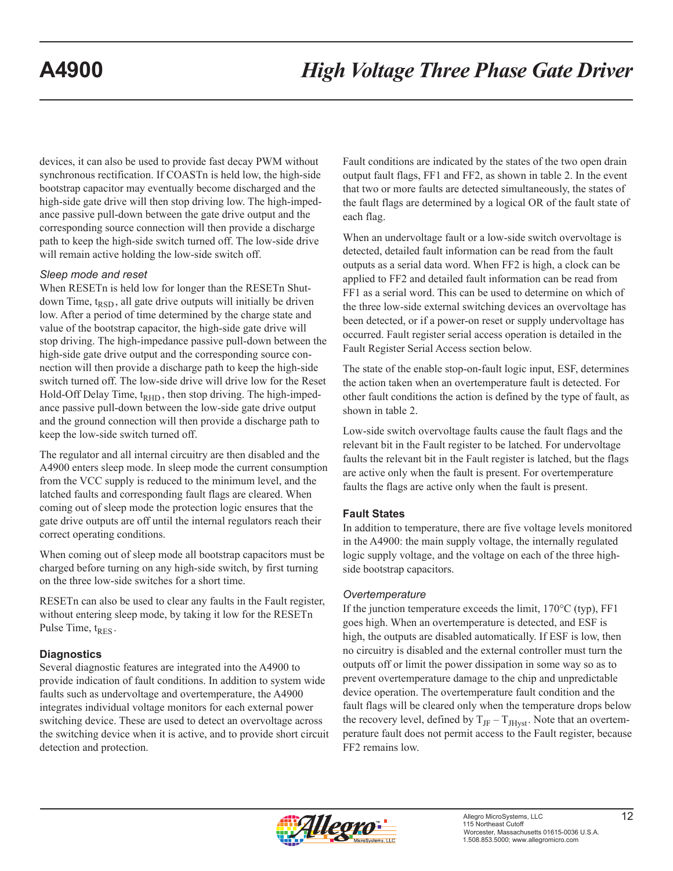<span id="page-12-0"></span>devices, it can also be used to provide fast decay PWM without synchronous rectification. If COASTn is held low, the high-side bootstrap capacitor may eventually become discharged and the high-side gate drive will then stop driving low. The high-impedance passive pull-down between the gate drive output and the corresponding source connection will then provide a discharge path to keep the high-side switch turned off. The low-side drive will remain active holding the low-side switch off.

#### *Sleep mode and reset*

When RESETn is held low for longer than the RESETn Shutdown Time,  $t_{RSD}$ , all gate drive outputs will initially be driven low. After a period of time determined by the charge state and value of the bootstrap capacitor, the high-side gate drive will stop driving. The high-impedance passive pull-down between the high-side gate drive output and the corresponding source connection will then provide a discharge path to keep the high-side switch turned off. The low-side drive will drive low for the Reset Hold-Off Delay Time,  $t_{\text{RHD}}$ , then stop driving. The high-impedance passive pull-down between the low-side gate drive output and the ground connection will then provide a discharge path to keep the low-side switch turned off.

The regulator and all internal circuitry are then disabled and the A4900 enters sleep mode. In sleep mode the current consumption from the VCC supply is reduced to the minimum level, and the latched faults and corresponding fault flags are cleared. When coming out of sleep mode the protection logic ensures that the gate drive outputs are off until the internal regulators reach their correct operating conditions.

When coming out of sleep mode all bootstrap capacitors must be charged before turning on any high-side switch, by first turning on the three low-side switches for a short time.

RESETn can also be used to clear any faults in the Fault register, without entering sleep mode, by taking it low for the RESETn Pulse Time,  $t_{RES}$ .

#### **Diagnostics**

Several diagnostic features are integrated into the A4900 to provide indication of fault conditions. In addition to system wide faults such as undervoltage and overtemperature, the A4900 integrates individual voltage monitors for each external power switching device. These are used to detect an overvoltage across the switching device when it is active, and to provide short circuit detection and protection.

Fault conditions are indicated by the states of the two open drain output fault flags, FF1 and FF2, as shown in table 2. In the event that two or more faults are detected simultaneously, the states of the fault flags are determined by a logical OR of the fault state of each flag.

When an undervoltage fault or a low-side switch overvoltage is detected, detailed fault information can be read from the fault outputs as a serial data word. When FF2 is high, a clock can be applied to FF2 and detailed fault information can be read from FF1 as a serial word. This can be used to determine on which of the three low-side external switching devices an overvoltage has been detected, or if a power-on reset or supply undervoltage has occurred. Fault register serial access operation is detailed in the Fault Register Serial Access section below.

The state of the enable stop-on-fault logic input, ESF, determines the action taken when an overtemperature fault is detected. For other fault conditions the action is defined by the type of fault, as shown in table 2.

Low-side switch overvoltage faults cause the fault flags and the relevant bit in the Fault register to be latched. For undervoltage faults the relevant bit in the Fault register is latched, but the flags are active only when the fault is present. For overtemperature faults the flags are active only when the fault is present.

#### **Fault States**

In addition to temperature, there are five voltage levels monitored in the A4900: the main supply voltage, the internally regulated logic supply voltage, and the voltage on each of the three highside bootstrap capacitors.

#### *Overtemperature*

If the junction temperature exceeds the limit, 170°C (typ), FF1 goes high. When an overtemperature is detected, and ESF is high, the outputs are disabled automatically. If ESF is low, then no circuitry is disabled and the external controller must turn the outputs off or limit the power dissipation in some way so as to prevent overtemperature damage to the chip and unpredictable device operation. The overtemperature fault condition and the fault flags will be cleared only when the temperature drops below the recovery level, defined by  $T_{\text{JF}} - T_{\text{JHvst}}$ . Note that an overtemperature fault does not permit access to the Fault register, because FF2 remains low.

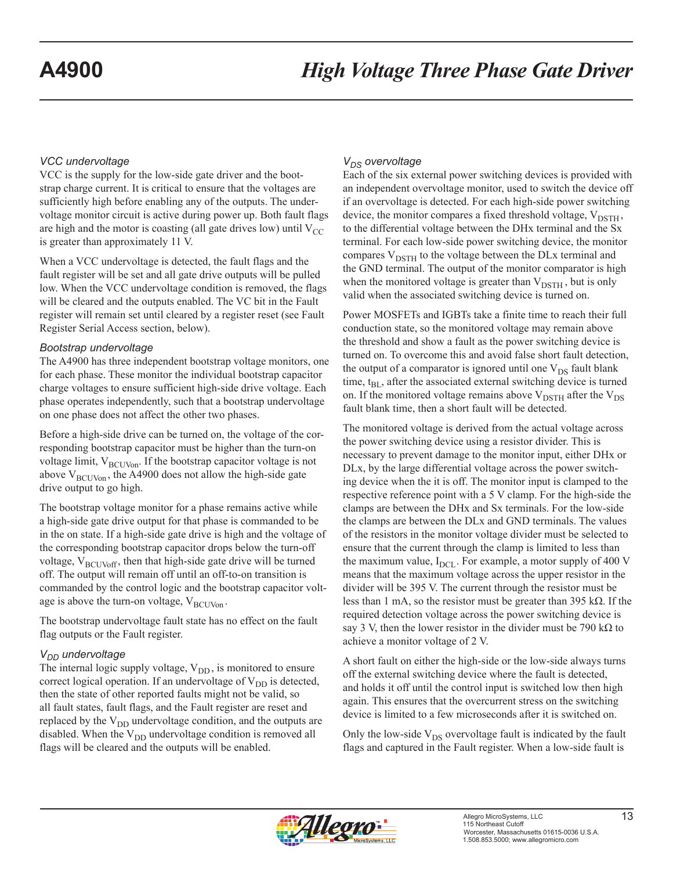#### <span id="page-13-0"></span>*VCC undervoltage*

VCC is the supply for the low-side gate driver and the bootstrap charge current. It is critical to ensure that the voltages are sufficiently high before enabling any of the outputs. The undervoltage monitor circuit is active during power up. Both fault flags are high and the motor is coasting (all gate drives low) until  $V_{CC}$ is greater than approximately 11 V.

When a VCC undervoltage is detected, the fault flags and the fault register will be set and all gate drive outputs will be pulled low. When the VCC undervoltage condition is removed, the flags will be cleared and the outputs enabled. The VC bit in the Fault register will remain set until cleared by a register reset (see Fault Register Serial Access section, below).

#### *Bootstrap undervoltage*

The A4900 has three independent bootstrap voltage monitors, one for each phase. These monitor the individual bootstrap capacitor charge voltages to ensure sufficient high-side drive voltage. Each phase operates independently, such that a bootstrap undervoltage on one phase does not affect the other two phases.

Before a high-side drive can be turned on, the voltage of the corresponding bootstrap capacitor must be higher than the turn-on voltage limit,  $V_{\text{BCUVon}}$ . If the bootstrap capacitor voltage is not above  $V_{\text{BCUVon}}$ , the A4900 does not allow the high-side gate drive output to go high.

The bootstrap voltage monitor for a phase remains active while a high-side gate drive output for that phase is commanded to be in the on state. If a high-side gate drive is high and the voltage of the corresponding bootstrap capacitor drops below the turn-off voltage,  $V_{\text{BCUVoff}}$ , then that high-side gate drive will be turned off. The output will remain off until an off-to-on transition is commanded by the control logic and the bootstrap capacitor voltage is above the turn-on voltage,  $V_{\text{BCUVon}}$ .

The bootstrap undervoltage fault state has no effect on the fault flag outputs or the Fault register.

#### $V_{DD}$  undervoltage

The internal logic supply voltage,  $V_{DD}$ , is monitored to ensure correct logical operation. If an undervoltage of  $V_{DD}$  is detected, then the state of other reported faults might not be valid, so all fault states, fault flags, and the Fault register are reset and replaced by the  $V_{DD}$  undervoltage condition, and the outputs are disabled. When the  $V_{DD}$  undervoltage condition is removed all flags will be cleared and the outputs will be enabled.

#### $V_{DS}$  overvoltage

Each of the six external power switching devices is provided with an independent overvoltage monitor, used to switch the device off if an overvoltage is detected. For each high-side power switching device, the monitor compares a fixed threshold voltage,  $V_{\text{DSTH}}$ , to the differential voltage between the DHx terminal and the Sx terminal. For each low-side power switching device, the monitor compares  $V_{\text{DSTH}}$  to the voltage between the DLx terminal and the GND terminal. The output of the monitor comparator is high when the monitored voltage is greater than  $V_{\text{DSTH}}$ , but is only valid when the associated switching device is turned on.

Power MOSFETs and IGBTs take a finite time to reach their full conduction state, so the monitored voltage may remain above the threshold and show a fault as the power switching device is turned on. To overcome this and avoid false short fault detection, the output of a comparator is ignored until one  $V_{DS}$  fault blank time,  $t_{BL}$ , after the associated external switching device is turned on. If the monitored voltage remains above  $V_{\text{DSTH}}$  after the  $V_{\text{DS}}$ fault blank time, then a short fault will be detected.

The monitored voltage is derived from the actual voltage across the power switching device using a resistor divider. This is necessary to prevent damage to the monitor input, either DHx or DLx, by the large differential voltage across the power switching device when the it is off. The monitor input is clamped to the respective reference point with a 5 V clamp. For the high-side the clamps are between the DHx and Sx terminals. For the low-side the clamps are between the DLx and GND terminals. The values of the resistors in the monitor voltage divider must be selected to ensure that the current through the clamp is limited to less than the maximum value,  $I_{DCL}$ . For example, a motor supply of 400 V means that the maximum voltage across the upper resistor in the divider will be 395 V. The current through the resistor must be less than 1 mA, so the resistor must be greater than 395 kΩ. If the required detection voltage across the power switching device is say 3 V, then the lower resistor in the divider must be 790 kΩ to achieve a monitor voltage of 2 V.

A short fault on either the high-side or the low-side always turns off the external switching device where the fault is detected, and holds it off until the control input is switched low then high again. This ensures that the overcurrent stress on the switching device is limited to a few microseconds after it is switched on.

Only the low-side  $V_{DS}$  overvoltage fault is indicated by the fault flags and captured in the Fault register. When a low-side fault is

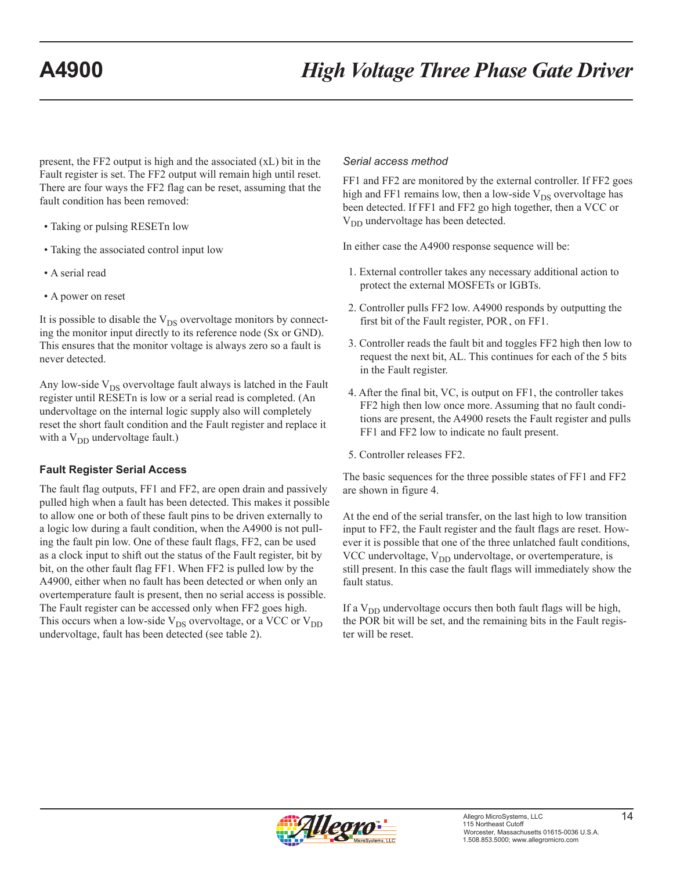<span id="page-14-0"></span>present, the FF2 output is high and the associated (xL) bit in the Fault register is set. The FF2 output will remain high until reset. There are four ways the FF2 flag can be reset, assuming that the fault condition has been removed:

- Taking or pulsing RESETn low
- Taking the associated control input low
- A serial read
- A power on reset

It is possible to disable the  $V_{DS}$  overvoltage monitors by connecting the monitor input directly to its reference node (Sx or GND). This ensures that the monitor voltage is always zero so a fault is never detected.

Any low-side  $V_{DS}$  overvoltage fault always is latched in the Fault register until RESETn is low or a serial read is completed. (An undervoltage on the internal logic supply also will completely reset the short fault condition and the Fault register and replace it with a  $V_{DD}$  undervoltage fault.)

#### **Fault Register Serial Access**

The fault flag outputs, FF1 and FF2, are open drain and passively pulled high when a fault has been detected. This makes it possible to allow one or both of these fault pins to be driven externally to a logic low during a fault condition, when the A4900 is not pulling the fault pin low. One of these fault flags, FF2, can be used as a clock input to shift out the status of the Fault register, bit by bit, on the other fault flag FF1. When FF2 is pulled low by the A4900, either when no fault has been detected or when only an overtemperature fault is present, then no serial access is possible. The Fault register can be accessed only when FF2 goes high. This occurs when a low-side  $V_{DS}$  overvoltage, or a VCC or  $V_{DD}$ undervoltage, fault has been detected (see table 2).

#### *Serial access method*

FF1 and FF2 are monitored by the external controller. If FF2 goes high and FF1 remains low, then a low-side  $V_{DS}$  overvoltage has been detected. If FF1 and FF2 go high together, then a VCC or V<sub>DD</sub> undervoltage has been detected.

In either case the A4900 response sequence will be:

- 1. External controller takes any necessary additional action to protect the external MOSFETs or IGBTs.
- 2. Controller pulls FF2 low. A4900 responds by outputting the first bit of the Fault register, POR, on FF1.
- 3. Controller reads the fault bit and toggles FF2 high then low to request the next bit, AL. This continues for each of the 5 bits in the Fault register.
- 4. After the final bit, VC, is output on FF1, the controller takes FF2 high then low once more. Assuming that no fault conditions are present, the A4900 resets the Fault register and pulls FF1 and FF2 low to indicate no fault present.

5. Controller releases FF2.

The basic sequences for the three possible states of FF1 and FF2 are shown in figure 4.

At the end of the serial transfer, on the last high to low transition input to FF2, the Fault register and the fault flags are reset. However it is possible that one of the three unlatched fault conditions, VCC undervoltage,  $V_{DD}$  undervoltage, or overtemperature, is still present. In this case the fault flags will immediately show the fault status.

If a  $V_{DD}$  undervoltage occurs then both fault flags will be high, the POR bit will be set, and the remaining bits in the Fault register will be reset.

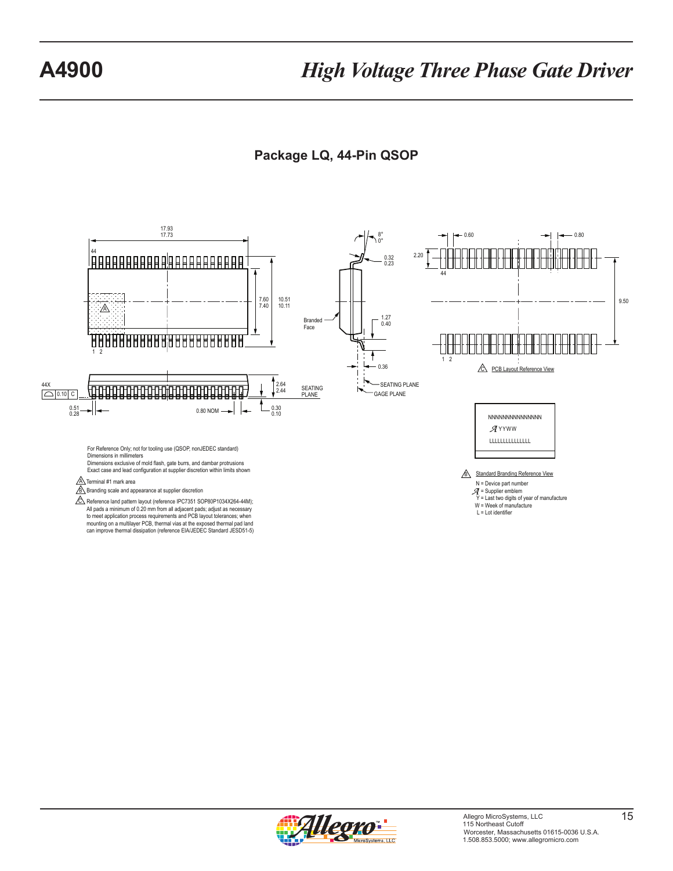### **Package LQ, 44-Pin QSOP**

<span id="page-15-0"></span>